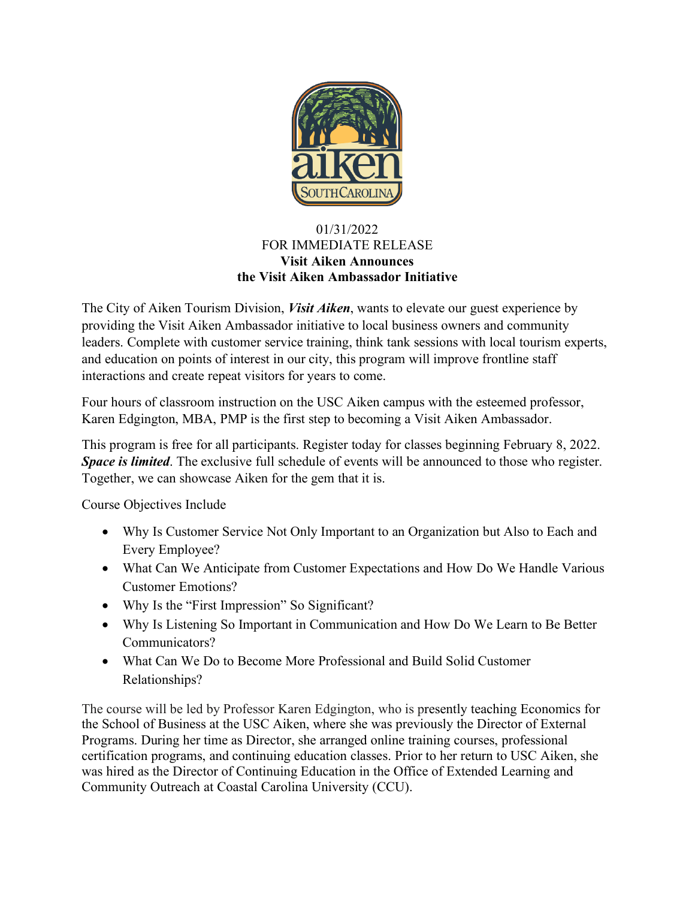

## 01/31/2022 FOR IMMEDIATE RELEASE **Visit Aiken Announces the Visit Aiken Ambassador Initiative**

The City of Aiken Tourism Division, *Visit Aiken*, wants to elevate our guest experience by providing the Visit Aiken Ambassador initiative to local business owners and community leaders. Complete with customer service training, think tank sessions with local tourism experts, and education on points of interest in our city, this program will improve frontline staff interactions and create repeat visitors for years to come.

Four hours of classroom instruction on the USC Aiken campus with the esteemed professor, Karen Edgington, MBA, PMP is the first step to becoming a Visit Aiken Ambassador.

This program is free for all participants. Register today for classes beginning February 8, 2022. *Space is limited*. The exclusive full schedule of events will be announced to those who register. Together, we can showcase Aiken for the gem that it is.

Course Objectives Include

- Why Is Customer Service Not Only Important to an Organization but Also to Each and Every Employee?
- What Can We Anticipate from Customer Expectations and How Do We Handle Various Customer Emotions?
- Why Is the "First Impression" So Significant?
- Why Is Listening So Important in Communication and How Do We Learn to Be Better Communicators?
- What Can We Do to Become More Professional and Build Solid Customer Relationships?

The course will be led by Professor Karen Edgington, who is presently teaching Economics for the School of Business at the USC Aiken, where she was previously the Director of External Programs. During her time as Director, she arranged online training courses, professional certification programs, and continuing education classes. Prior to her return to USC Aiken, she was hired as the Director of Continuing Education in the Office of Extended Learning and Community Outreach at Coastal Carolina University (CCU).